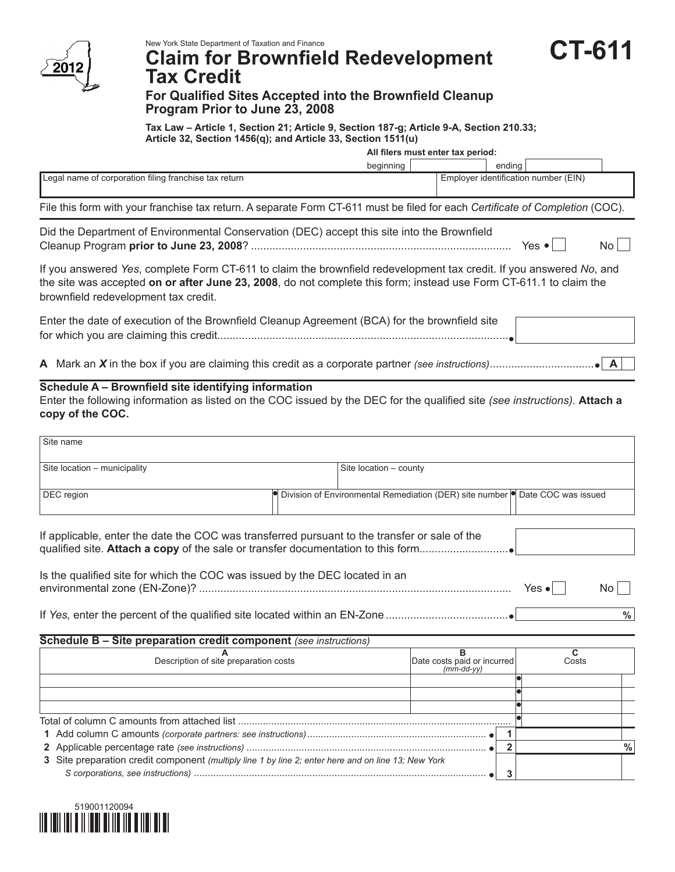

# **Claim for Brownfield Redevelopment Tax Credit**

## **For Qualified Sites Accepted into the Brownfield Cleanup Program Prior to June 23, 2008**

**Tax Law – Article 1, Section 21; Article 9, Section 187-g; Article 9-A, Section 210.33; Article 32, Section 1456(q); and Article 33, Section 1511(u)**

**All filers must enter tax period:**

**CT-611**

|                                                       | beginning                            |  | endina |  |
|-------------------------------------------------------|--------------------------------------|--|--------|--|
| Legal name of corporation filing franchise tax return | Employer identification number (EIN) |  |        |  |
|                                                       |                                      |  |        |  |

File this form with your franchise tax return. A separate Form CT-611 must be filed for each *Certificate of Completion* (COC).

| Did the Department of Environmental Conservation (DEC) accept this site into the Brownfield |       |    |
|---------------------------------------------------------------------------------------------|-------|----|
|                                                                                             | Yes • | No |

If you answered *Yes*, complete Form CT-611 to claim the brownfield redevelopment tax credit. If you answered *No*, and the site was accepted **on or after June 23, 2008**, do not complete this form; instead use Form CT-611.1 to claim the brownfield redevelopment tax credit.

| Enter the date of execution of the Brownfield Cleanup Agreement (BCA) for the brownfield site |  |
|-----------------------------------------------------------------------------------------------|--|
|                                                                                               |  |

**A** Mark an *X* in the box if you are claiming this credit as a corporate partner *(see instructions)*.................................. **A**

## **Schedule A – Brownfield site identifying information**

Enter the following information as listed on the COC issued by the DEC for the qualified site *(see instructions).* **Attach a copy of the COC.**

| Site name                                                                                           |                        |                                                                                      |                |                       |               |
|-----------------------------------------------------------------------------------------------------|------------------------|--------------------------------------------------------------------------------------|----------------|-----------------------|---------------|
| Site location - municipality                                                                        | Site location - county |                                                                                      |                |                       |               |
| DEC region                                                                                          |                        | Division of Environmental Remediation (DER) site number <b>O</b> Date COC was issued |                |                       |               |
| If applicable, enter the date the COC was transferred pursuant to the transfer or sale of the       |                        |                                                                                      |                |                       |               |
| Is the qualified site for which the COC was issued by the DEC located in an                         |                        |                                                                                      |                | Yes $\bullet$         | No l          |
|                                                                                                     |                        |                                                                                      |                |                       | $\frac{0}{0}$ |
| Schedule B - Site preparation credit component (see instructions)                                   |                        |                                                                                      |                |                       |               |
| Description of site preparation costs                                                               |                        | в<br>Date costs paid or incurred<br>$(mm-dd-vv)$                                     |                | $\mathbf{C}$<br>Costs |               |
|                                                                                                     |                        |                                                                                      |                |                       |               |
|                                                                                                     |                        |                                                                                      |                |                       |               |
|                                                                                                     |                        |                                                                                      |                |                       |               |
|                                                                                                     |                        |                                                                                      |                |                       |               |
|                                                                                                     |                        |                                                                                      | 1              |                       |               |
|                                                                                                     |                        |                                                                                      | $\overline{2}$ |                       | $\%$          |
| 3 Site preparation credit component (multiply line 1 by line 2; enter here and on line 13; New York |                        |                                                                                      | 3              |                       |               |

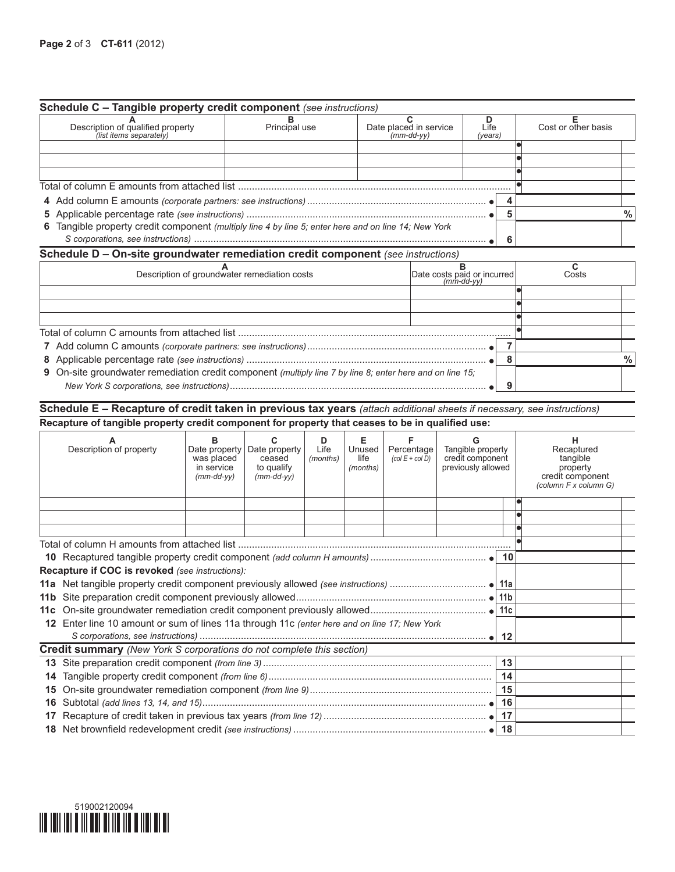|                                                                                                      |               | Schedule C - Tangible property credit component (see instructions) |                 |  |  |                     |   |
|------------------------------------------------------------------------------------------------------|---------------|--------------------------------------------------------------------|-----------------|--|--|---------------------|---|
| Description of qualified property<br>(list items separately)                                         | Principal use | Date placed in service<br>(mm-dd-yy)                               | Life<br>(years) |  |  | Cost or other basis |   |
|                                                                                                      |               |                                                                    |                 |  |  |                     |   |
|                                                                                                      |               |                                                                    |                 |  |  |                     |   |
|                                                                                                      |               |                                                                    |                 |  |  |                     |   |
|                                                                                                      |               |                                                                    |                 |  |  |                     |   |
|                                                                                                      |               |                                                                    |                 |  |  |                     |   |
|                                                                                                      |               |                                                                    |                 |  |  |                     | % |
| 6 Tangible property credit component (multiply line 4 by line 5; enter here and on line 14; New York |               |                                                                    |                 |  |  |                     |   |
|                                                                                                      |               |                                                                    |                 |  |  |                     |   |

### **Schedule D – On-site groundwater remediation credit component** *(see instructions)*

| Description of groundwater remediation costs                                                              | Date costs paid or incurred |   | Costs |      |
|-----------------------------------------------------------------------------------------------------------|-----------------------------|---|-------|------|
|                                                                                                           |                             |   |       |      |
|                                                                                                           |                             |   |       |      |
|                                                                                                           |                             |   |       |      |
|                                                                                                           |                             |   |       |      |
|                                                                                                           |                             |   |       |      |
|                                                                                                           |                             |   |       | $\%$ |
| 9 On-site groundwater remediation credit component (multiply line 7 by line 8; enter here and on line 15; |                             |   |       |      |
|                                                                                                           |                             | a |       |      |

**Schedule E – Recapture of credit taken in previous tax years** *(attach additional sheets if necessary, see instructions)* **Recapture of tangible property credit component for property that ceases to be in qualified use:**

|         | Description of property                                                                   | в<br>Date property<br>was placed<br>in service<br>$(mm-dd-vv)$ | Date property<br>ceased<br>to qualify<br>$(mm$ -dd-yy $)$ | D<br>Life<br>(months) | Е<br>Unused<br>life<br>(months) | Percentage<br>$\left(\text{col } E \div \text{col } D\right)$ | Tangible property<br>credit component<br>previously allowed |    | н<br>Recaptured<br>tangible<br>property<br>credit component<br>(column F x column G) |
|---------|-------------------------------------------------------------------------------------------|----------------------------------------------------------------|-----------------------------------------------------------|-----------------------|---------------------------------|---------------------------------------------------------------|-------------------------------------------------------------|----|--------------------------------------------------------------------------------------|
|         |                                                                                           |                                                                |                                                           |                       |                                 |                                                               |                                                             |    |                                                                                      |
|         |                                                                                           |                                                                |                                                           |                       |                                 |                                                               |                                                             |    |                                                                                      |
|         |                                                                                           |                                                                |                                                           |                       |                                 |                                                               |                                                             |    |                                                                                      |
|         | Total of column H amounts from attached list …………………………………………………………………………………              |                                                                |                                                           |                       |                                 |                                                               |                                                             |    |                                                                                      |
|         |                                                                                           |                                                                |                                                           |                       |                                 |                                                               |                                                             |    |                                                                                      |
|         | Recapture if COC is revoked (see instructions):                                           |                                                                |                                                           |                       |                                 |                                                               |                                                             |    |                                                                                      |
|         |                                                                                           |                                                                |                                                           |                       |                                 |                                                               |                                                             |    |                                                                                      |
| 11 b    |                                                                                           |                                                                |                                                           |                       |                                 |                                                               |                                                             |    |                                                                                      |
| 11с     |                                                                                           |                                                                |                                                           |                       |                                 |                                                               |                                                             |    |                                                                                      |
| $12 \,$ | Enter line 10 amount or sum of lines 11a through 11c (enter here and on line 17; New York |                                                                |                                                           |                       |                                 |                                                               |                                                             |    |                                                                                      |
|         |                                                                                           |                                                                |                                                           |                       |                                 |                                                               |                                                             |    |                                                                                      |
|         | <b>Credit summary</b> (New York S corporations do not complete this section)              |                                                                |                                                           |                       |                                 |                                                               |                                                             |    |                                                                                      |
| 13      |                                                                                           |                                                                |                                                           |                       |                                 |                                                               |                                                             | 13 |                                                                                      |
| 14      |                                                                                           |                                                                |                                                           |                       |                                 |                                                               |                                                             |    |                                                                                      |
| 15      |                                                                                           |                                                                |                                                           |                       |                                 |                                                               |                                                             |    |                                                                                      |
| 16      |                                                                                           |                                                                |                                                           |                       |                                 |                                                               |                                                             | 16 |                                                                                      |
| 17      |                                                                                           |                                                                |                                                           |                       |                                 |                                                               |                                                             |    |                                                                                      |
|         |                                                                                           |                                                                |                                                           |                       |                                 |                                                               |                                                             |    |                                                                                      |